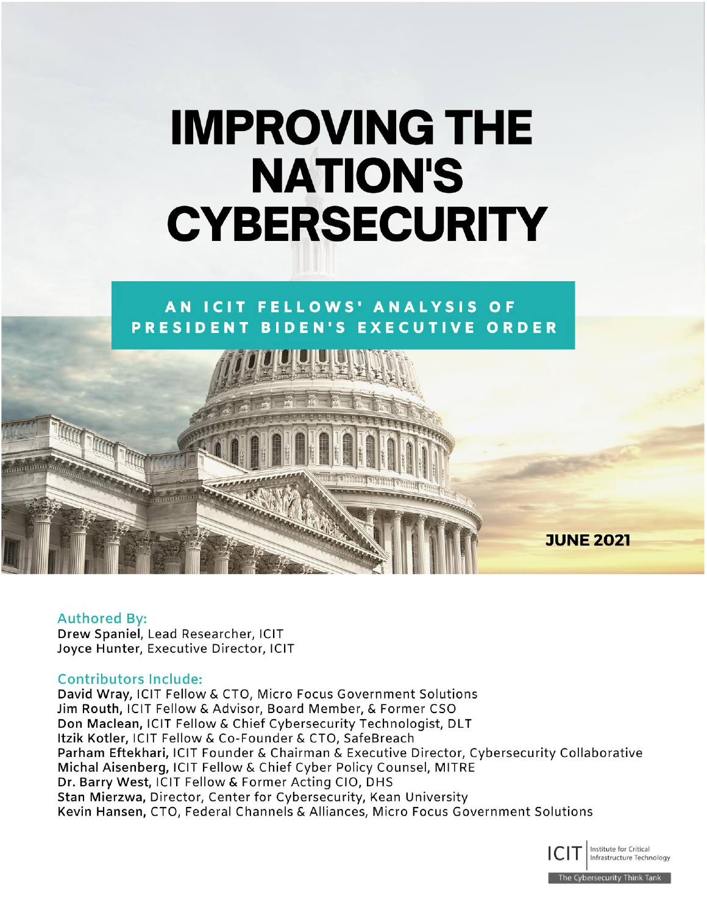# **IMPROVING THE NATION'S CYBERSECURITY**

# AN ICIT FELLOWS' ANALYSIS OF PRESIDENT BIDEN'S EXECUTIVE ORDER

**JUNE 2021** 

#### **Authored By:**

Drew Spaniel, Lead Researcher, ICIT Joyce Hunter, Executive Director, ICIT

#### **Contributors Include:**

David Wray, ICIT Fellow & CTO, Micro Focus Government Solutions Jim Routh, ICIT Fellow & Advisor, Board Member, & Former CSO Don Maclean, ICIT Fellow & Chief Cybersecurity Technologist, DLT Itzik Kotler, ICIT Fellow & Co-Founder & CTO, SafeBreach Parham Eftekhari, ICIT Founder & Chairman & Executive Director, Cybersecurity Collaborative Michal Aisenberg, ICIT Fellow & Chief Cyber Policy Counsel, MITRE Dr. Barry West, ICIT Fellow & Former Acting CIO, DHS Stan Mierzwa, Director, Center for Cybersecurity, Kean University Kevin Hansen, CTO, Federal Channels & Alliances, Micro Focus Government Solutions

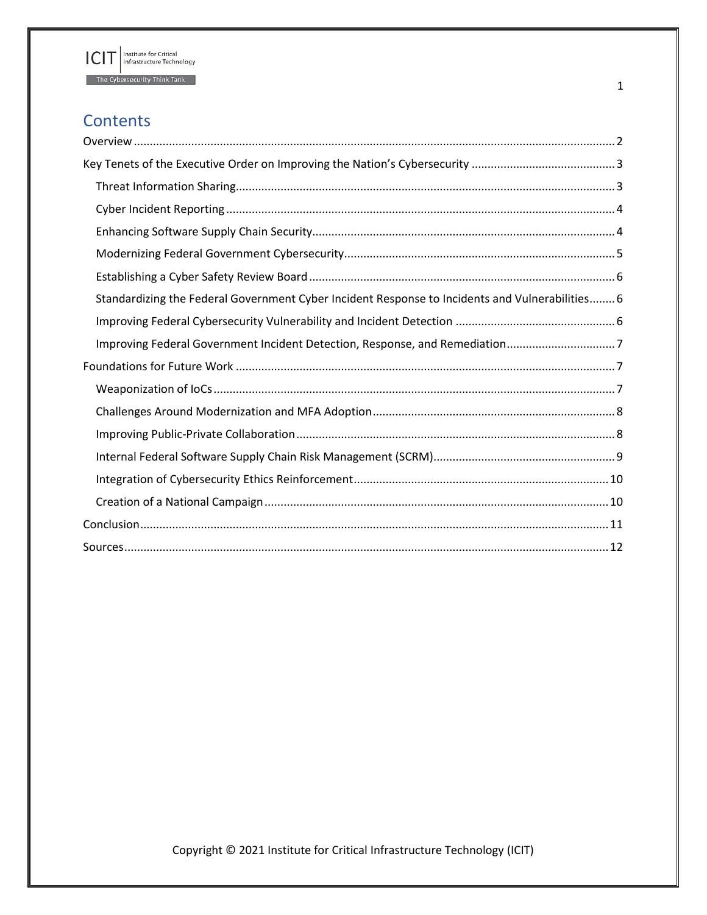

# **Contents**

| Standardizing the Federal Government Cyber Incident Response to Incidents and Vulnerabilities 6 |
|-------------------------------------------------------------------------------------------------|
|                                                                                                 |
| Improving Federal Government Incident Detection, Response, and Remediation7                     |
|                                                                                                 |
|                                                                                                 |
|                                                                                                 |
|                                                                                                 |
|                                                                                                 |
|                                                                                                 |
|                                                                                                 |
|                                                                                                 |
|                                                                                                 |

1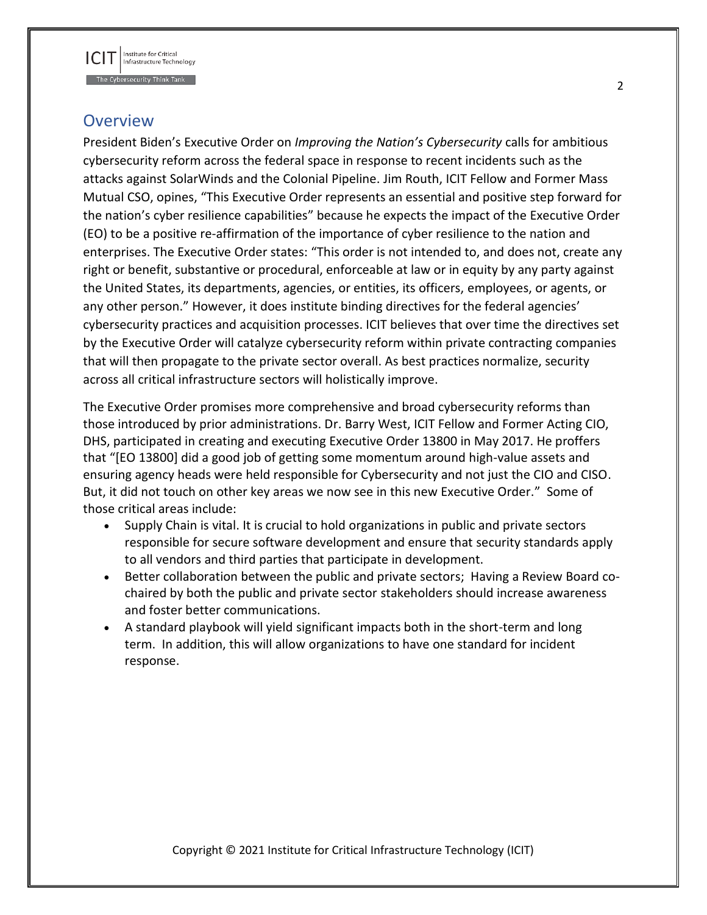

## <span id="page-2-0"></span>**Overview**

President Biden's Executive Order on *Improving the Nation's Cybersecurity* calls for ambitious cybersecurity reform across the federal space in response to recent incidents such as the attacks against SolarWinds and the Colonial Pipeline. Jim Routh, ICIT Fellow and Former Mass Mutual CSO, opines, "This Executive Order represents an essential and positive step forward for the nation's cyber resilience capabilities" because he expects the impact of the Executive Order (EO) to be a positive re-affirmation of the importance of cyber resilience to the nation and enterprises. The Executive Order states: "This order is not intended to, and does not, create any right or benefit, substantive or procedural, enforceable at law or in equity by any party against the United States, its departments, agencies, or entities, its officers, employees, or agents, or any other person." However, it does institute binding directives for the federal agencies' cybersecurity practices and acquisition processes. ICIT believes that over time the directives set by the Executive Order will catalyze cybersecurity reform within private contracting companies that will then propagate to the private sector overall. As best practices normalize, security across all critical infrastructure sectors will holistically improve.

The Executive Order promises more comprehensive and broad cybersecurity reforms than those introduced by prior administrations. Dr. Barry West, ICIT Fellow and Former Acting CIO, DHS, participated in creating and executing Executive Order 13800 in May 2017. He proffers that "[EO 13800] did a good job of getting some momentum around high-value assets and ensuring agency heads were held responsible for Cybersecurity and not just the CIO and CISO. But, it did not touch on other key areas we now see in this new Executive Order." Some of those critical areas include:

- Supply Chain is vital. It is crucial to hold organizations in public and private sectors responsible for secure software development and ensure that security standards apply to all vendors and third parties that participate in development.
- Better collaboration between the public and private sectors; Having a Review Board cochaired by both the public and private sector stakeholders should increase awareness and foster better communications.
- A standard playbook will yield significant impacts both in the short-term and long term. In addition, this will allow organizations to have one standard for incident response.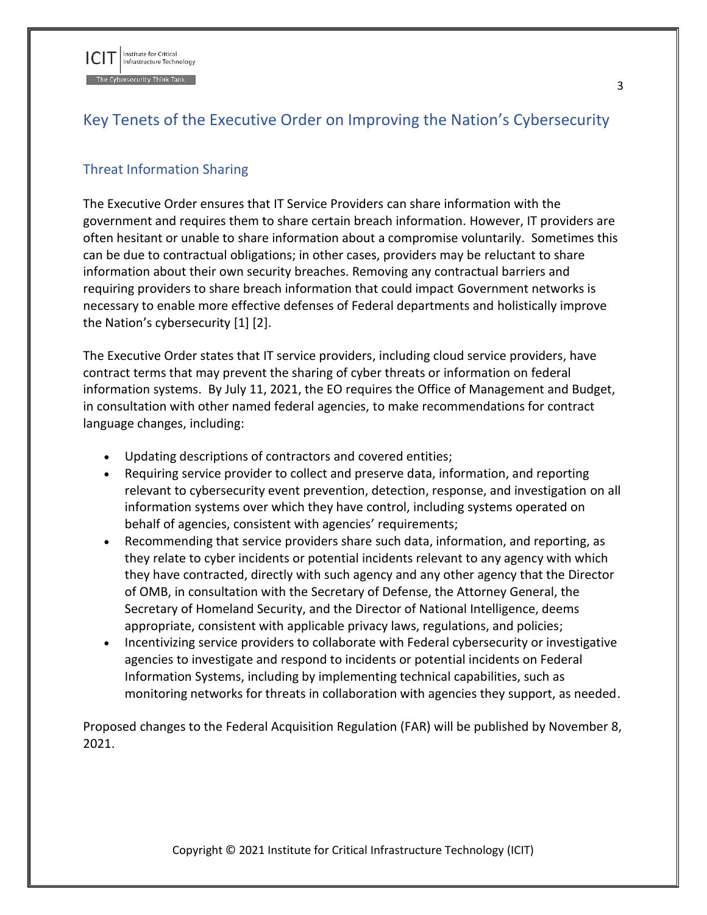

# <span id="page-3-0"></span>Key Tenets of the Executive Order on Improving the Nation's Cybersecurity

### <span id="page-3-1"></span>Threat Information Sharing

The Executive Order ensures that IT Service Providers can share information with the government and requires them to share certain breach information. However, IT providers are often hesitant or unable to share information about a compromise voluntarily. Sometimes this can be due to contractual obligations; in other cases, providers may be reluctant to share information about their own security breaches. Removing any contractual barriers and requiring providers to share breach information that could impact Government networks is necessary to enable more effective defenses of Federal departments and holistically improve the Nation's cybersecurity [1] [2].

The Executive Order states that IT service providers, including cloud service providers, have contract terms that may prevent the sharing of cyber threats or information on federal information systems. By July 11, 2021, the EO requires the Office of Management and Budget, in consultation with other named federal agencies, to make recommendations for contract language changes, including:

- Updating descriptions of contractors and covered entities;
- Requiring service provider to collect and preserve data, information, and reporting relevant to cybersecurity event prevention, detection, response, and investigation on all information systems over which they have control, including systems operated on behalf of agencies, consistent with agencies' requirements;
- Recommending that service providers share such data, information, and reporting, as they relate to cyber incidents or potential incidents relevant to any agency with which they have contracted, directly with such agency and any other agency that the Director of OMB, in consultation with the Secretary of Defense, the Attorney General, the Secretary of Homeland Security, and the Director of National Intelligence, deems appropriate, consistent with applicable privacy laws, regulations, and policies;
- Incentivizing service providers to collaborate with Federal cybersecurity or investigative agencies to investigate and respond to incidents or potential incidents on Federal Information Systems, including by implementing technical capabilities, such as monitoring networks for threats in collaboration with agencies they support, as needed.

Proposed changes to the Federal Acquisition Regulation (FAR) will be published by November 8, 2021.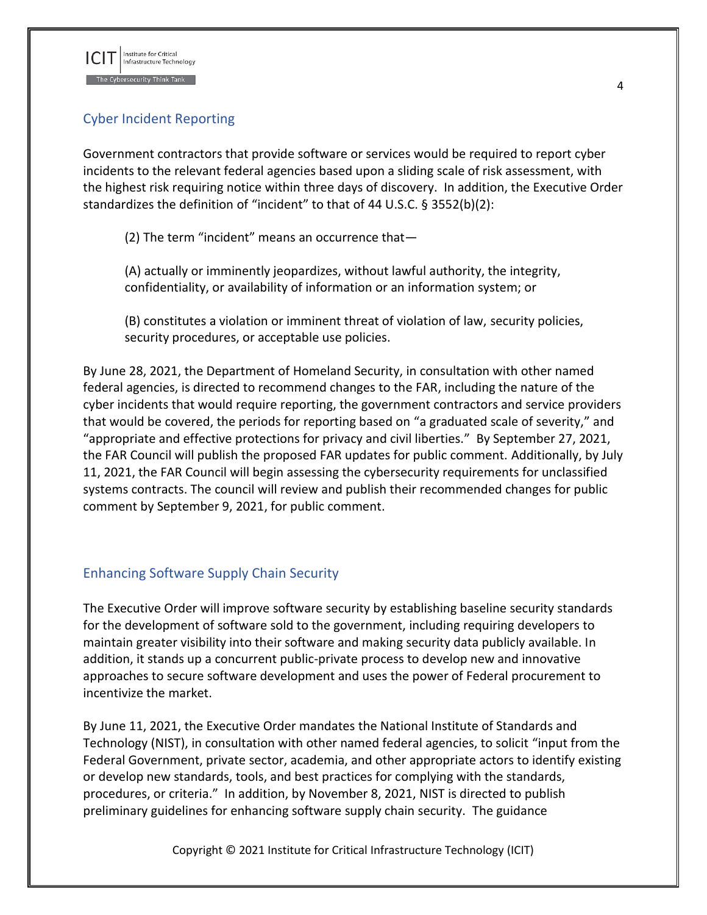

## <span id="page-4-0"></span>Cyber Incident Reporting

Government contractors that provide software or services would be required to report cyber incidents to the relevant federal agencies based upon a sliding scale of risk assessment, with the highest risk requiring notice within three days of discovery. In addition, the Executive Order standardizes the definition of "incident" to that of 44 U.S.C. § 3552(b)(2):

(2) The term "incident" means an occurrence that—

(A) actually or imminently jeopardizes, without lawful authority, the integrity, confidentiality, or availability of information or an information system; or

(B) constitutes a violation or imminent threat of violation of law, security policies, security procedures, or acceptable use policies.

By June 28, 2021, the Department of Homeland Security, in consultation with other named federal agencies, is directed to recommend changes to the FAR, including the nature of the cyber incidents that would require reporting, the government contractors and service providers that would be covered, the periods for reporting based on "a graduated scale of severity," and "appropriate and effective protections for privacy and civil liberties." By September 27, 2021, the FAR Council will publish the proposed FAR updates for public comment. Additionally, by July 11, 2021, the FAR Council will begin assessing the cybersecurity requirements for unclassified systems contracts. The council will review and publish their recommended changes for public comment by September 9, 2021, for public comment.

#### <span id="page-4-1"></span>Enhancing Software Supply Chain Security

The Executive Order will improve software security by establishing baseline security standards for the development of software sold to the government, including requiring developers to maintain greater visibility into their software and making security data publicly available. In addition, it stands up a concurrent public-private process to develop new and innovative approaches to secure software development and uses the power of Federal procurement to incentivize the market.

By June 11, 2021, the Executive Order mandates the National Institute of Standards and Technology (NIST), in consultation with other named federal agencies, to solicit "input from the Federal Government, private sector, academia, and other appropriate actors to identify existing or develop new standards, tools, and best practices for complying with the standards, procedures, or criteria." In addition, by November 8, 2021, NIST is directed to publish preliminary guidelines for enhancing software supply chain security. The guidance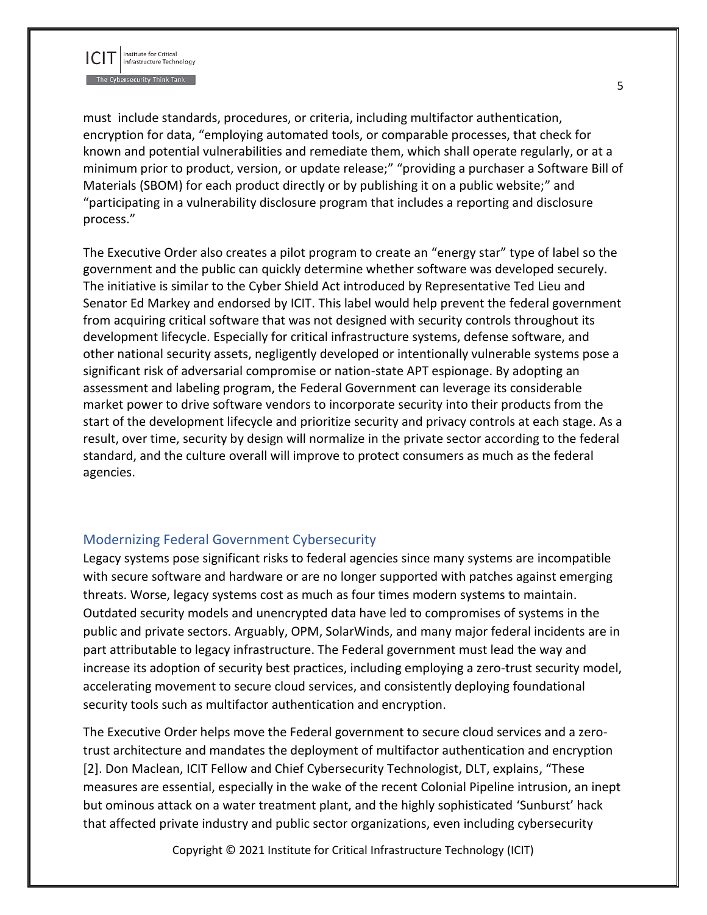

must include standards, procedures, or criteria, including multifactor authentication, encryption for data, "employing automated tools, or comparable processes, that check for known and potential vulnerabilities and remediate them, which shall operate regularly, or at a minimum prior to product, version, or update release;" "providing a purchaser a Software Bill of Materials (SBOM) for each product directly or by publishing it on a public website;" and "participating in a vulnerability disclosure program that includes a reporting and disclosure process."

The Executive Order also creates a pilot program to create an "energy star" type of label so the government and the public can quickly determine whether software was developed securely. The initiative is similar to the Cyber Shield Act introduced by Representative Ted Lieu and Senator Ed Markey and endorsed by ICIT. This label would help prevent the federal government from acquiring critical software that was not designed with security controls throughout its development lifecycle. Especially for critical infrastructure systems, defense software, and other national security assets, negligently developed or intentionally vulnerable systems pose a significant risk of adversarial compromise or nation-state APT espionage. By adopting an assessment and labeling program, the Federal Government can leverage its considerable market power to drive software vendors to incorporate security into their products from the start of the development lifecycle and prioritize security and privacy controls at each stage. As a result, over time, security by design will normalize in the private sector according to the federal standard, and the culture overall will improve to protect consumers as much as the federal agencies.

#### <span id="page-5-0"></span>Modernizing Federal Government Cybersecurity

Legacy systems pose significant risks to federal agencies since many systems are incompatible with secure software and hardware or are no longer supported with patches against emerging threats. Worse, legacy systems cost as much as four times modern systems to maintain. Outdated security models and unencrypted data have led to compromises of systems in the public and private sectors. Arguably, OPM, SolarWinds, and many major federal incidents are in part attributable to legacy infrastructure. The Federal government must lead the way and increase its adoption of security best practices, including employing a zero-trust security model, accelerating movement to secure cloud services, and consistently deploying foundational security tools such as multifactor authentication and encryption.

The Executive Order helps move the Federal government to secure cloud services and a zerotrust architecture and mandates the deployment of multifactor authentication and encryption [2]. Don Maclean, ICIT Fellow and Chief Cybersecurity Technologist, DLT, explains, "These measures are essential, especially in the wake of the recent Colonial Pipeline intrusion, an inept but ominous attack on a water treatment plant, and the highly sophisticated 'Sunburst' hack that affected private industry and public sector organizations, even including cybersecurity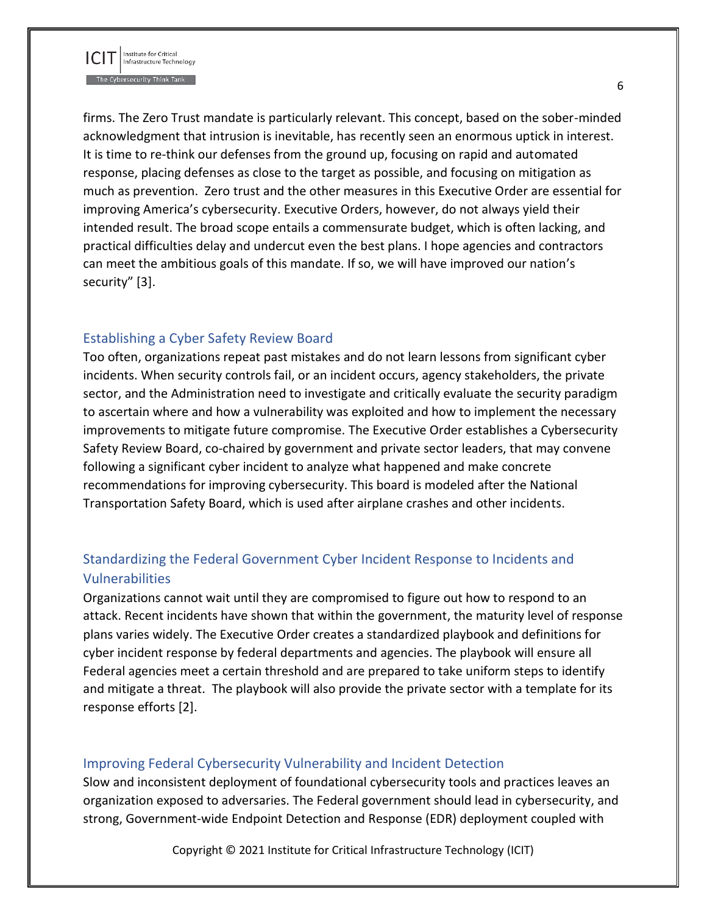

firms. The Zero Trust mandate is particularly relevant. This concept, based on the sober-minded acknowledgment that intrusion is inevitable, has recently seen an enormous uptick in interest. It is time to re-think our defenses from the ground up, focusing on rapid and automated response, placing defenses as close to the target as possible, and focusing on mitigation as much as prevention. Zero trust and the other measures in this Executive Order are essential for improving America's cybersecurity. Executive Orders, however, do not always yield their intended result. The broad scope entails a commensurate budget, which is often lacking, and practical difficulties delay and undercut even the best plans. I hope agencies and contractors can meet the ambitious goals of this mandate. If so, we will have improved our nation's security" [3].

#### <span id="page-6-0"></span>Establishing a Cyber Safety Review Board

Too often, organizations repeat past mistakes and do not learn lessons from significant cyber incidents. When security controls fail, or an incident occurs, agency stakeholders, the private sector, and the Administration need to investigate and critically evaluate the security paradigm to ascertain where and how a vulnerability was exploited and how to implement the necessary improvements to mitigate future compromise. The Executive Order establishes a Cybersecurity Safety Review Board, co-chaired by government and private sector leaders, that may convene following a significant cyber incident to analyze what happened and make concrete recommendations for improving cybersecurity. This board is modeled after the National Transportation Safety Board, which is used after airplane crashes and other incidents.

## <span id="page-6-1"></span>Standardizing the Federal Government Cyber Incident Response to Incidents and Vulnerabilities

Organizations cannot wait until they are compromised to figure out how to respond to an attack. Recent incidents have shown that within the government, the maturity level of response plans varies widely. The Executive Order creates a standardized playbook and definitions for cyber incident response by federal departments and agencies. The playbook will ensure all Federal agencies meet a certain threshold and are prepared to take uniform steps to identify and mitigate a threat. The playbook will also provide the private sector with a template for its response efforts [2].

#### <span id="page-6-2"></span>Improving Federal Cybersecurity Vulnerability and Incident Detection

Slow and inconsistent deployment of foundational cybersecurity tools and practices leaves an organization exposed to adversaries. The Federal government should lead in cybersecurity, and strong, Government-wide Endpoint Detection and Response (EDR) deployment coupled with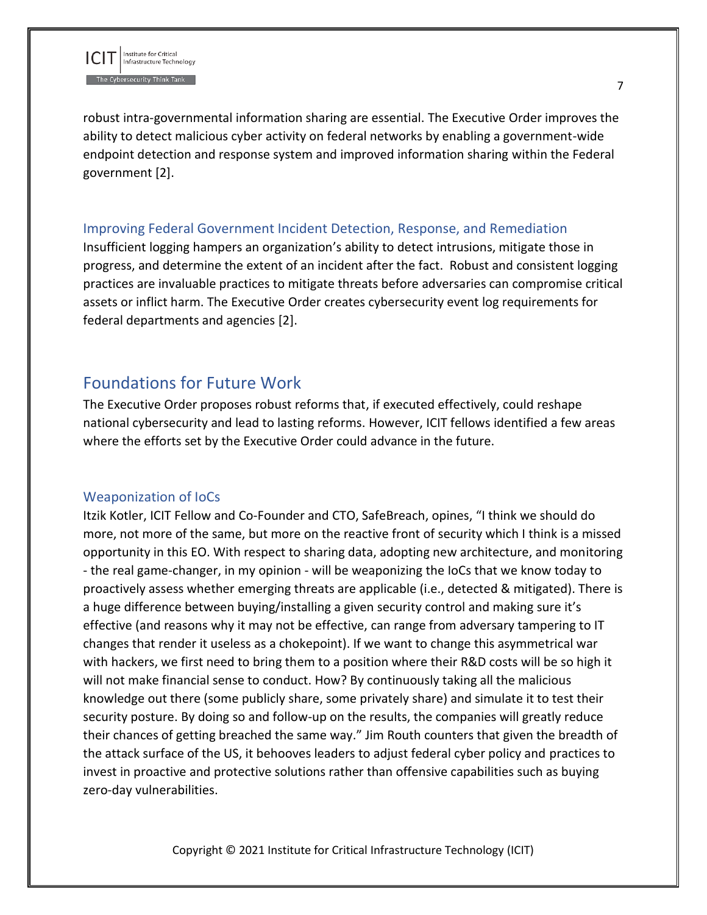

robust intra-governmental information sharing are essential. The Executive Order improves the ability to detect malicious cyber activity on federal networks by enabling a government-wide endpoint detection and response system and improved information sharing within the Federal government [2].

#### <span id="page-7-0"></span>Improving Federal Government Incident Detection, Response, and Remediation

Insufficient logging hampers an organization's ability to detect intrusions, mitigate those in progress, and determine the extent of an incident after the fact. Robust and consistent logging practices are invaluable practices to mitigate threats before adversaries can compromise critical assets or inflict harm. The Executive Order creates cybersecurity event log requirements for federal departments and agencies [2].

## <span id="page-7-1"></span>Foundations for Future Work

The Executive Order proposes robust reforms that, if executed effectively, could reshape national cybersecurity and lead to lasting reforms. However, ICIT fellows identified a few areas where the efforts set by the Executive Order could advance in the future.

#### <span id="page-7-2"></span>Weaponization of IoCs

Itzik Kotler, ICIT Fellow and Co-Founder and CTO, SafeBreach, opines, "I think we should do more, not more of the same, but more on the reactive front of security which I think is a missed opportunity in this EO. With respect to sharing data, adopting new architecture, and monitoring - the real game-changer, in my opinion - will be weaponizing the IoCs that we know today to proactively assess whether emerging threats are applicable (i.e., detected & mitigated). There is a huge difference between buying/installing a given security control and making sure it's effective (and reasons why it may not be effective, can range from adversary tampering to IT changes that render it useless as a chokepoint). If we want to change this asymmetrical war with hackers, we first need to bring them to a position where their R&D costs will be so high it will not make financial sense to conduct. How? By continuously taking all the malicious knowledge out there (some publicly share, some privately share) and simulate it to test their security posture. By doing so and follow-up on the results, the companies will greatly reduce their chances of getting breached the same way." Jim Routh counters that given the breadth of the attack surface of the US, it behooves leaders to adjust federal cyber policy and practices to invest in proactive and protective solutions rather than offensive capabilities such as buying zero-day vulnerabilities.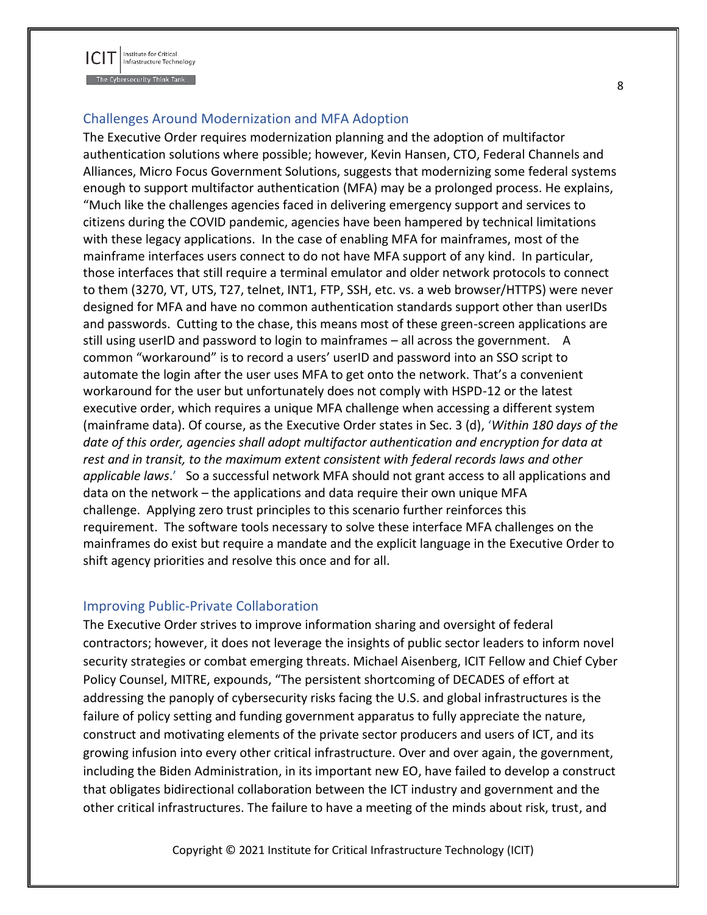

#### <span id="page-8-0"></span>Challenges Around Modernization and MFA Adoption

The Executive Order requires modernization planning and the adoption of multifactor authentication solutions where possible; however, Kevin Hansen, CTO, Federal Channels and Alliances, Micro Focus Government Solutions, suggests that modernizing some federal systems enough to support multifactor authentication (MFA) may be a prolonged process. He explains, "Much like the challenges agencies faced in delivering emergency support and services to citizens during the COVID pandemic, agencies have been hampered by technical limitations with these legacy applications. In the case of enabling MFA for mainframes, most of the mainframe interfaces users connect to do not have MFA support of any kind. In particular, those interfaces that still require a terminal emulator and older network protocols to connect to them (3270, VT, UTS, T27, telnet, INT1, FTP, SSH, etc. vs. a web browser/HTTPS) were never designed for MFA and have no common authentication standards support other than userIDs and passwords. Cutting to the chase, this means most of these green-screen applications are still using userID and password to login to mainframes – all across the government. A common "workaround" is to record a users' userID and password into an SSO script to automate the login after the user uses MFA to get onto the network. That's a convenient workaround for the user but unfortunately does not comply with HSPD-12 or the latest executive order, which requires a unique MFA challenge when accessing a different system (mainframe data). Of course, as the Executive Order states in Sec. 3 (d), '*Within 180 days of the date of this order, agencies shall adopt multifactor authentication and encryption for data at rest and in transit, to the maximum extent consistent with federal records laws and other applicable laws*.' So a successful network MFA should not grant access to all applications and data on the network – the applications and data require their own unique MFA challenge. Applying zero trust principles to this scenario further reinforces this requirement. The software tools necessary to solve these interface MFA challenges on the mainframes do exist but require a mandate and the explicit language in the Executive Order to shift agency priorities and resolve this once and for all.

#### <span id="page-8-1"></span>Improving Public-Private Collaboration

The Executive Order strives to improve information sharing and oversight of federal contractors; however, it does not leverage the insights of public sector leaders to inform novel security strategies or combat emerging threats. Michael Aisenberg, ICIT Fellow and Chief Cyber Policy Counsel, MITRE, expounds, "The persistent shortcoming of DECADES of effort at addressing the panoply of cybersecurity risks facing the U.S. and global infrastructures is the failure of policy setting and funding government apparatus to fully appreciate the nature, construct and motivating elements of the private sector producers and users of ICT, and its growing infusion into every other critical infrastructure. Over and over again, the government, including the Biden Administration, in its important new EO, have failed to develop a construct that obligates bidirectional collaboration between the ICT industry and government and the other critical infrastructures. The failure to have a meeting of the minds about risk, trust, and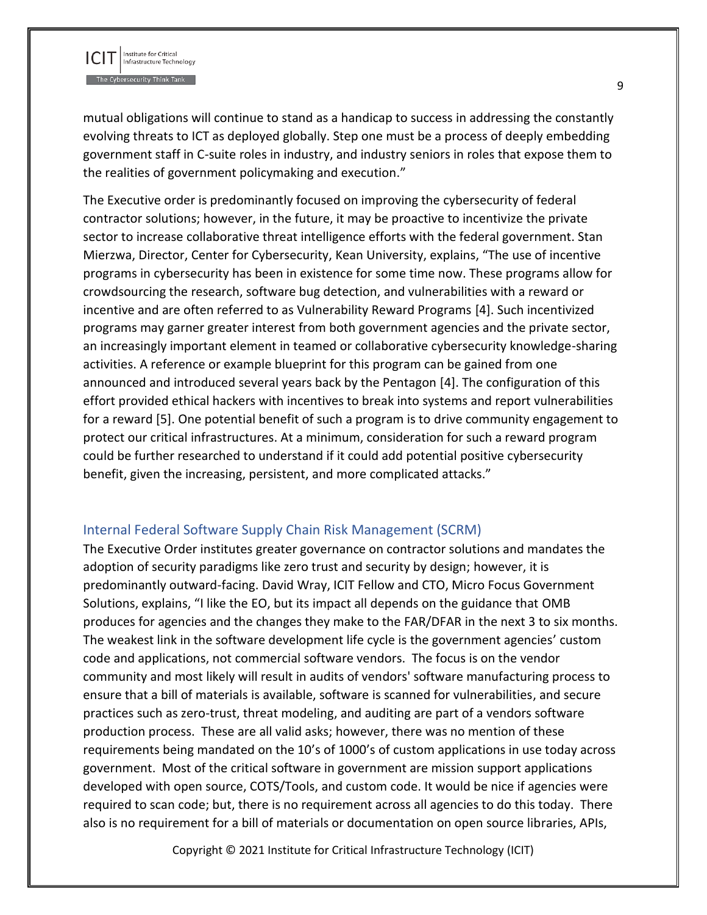

mutual obligations will continue to stand as a handicap to success in addressing the constantly evolving threats to ICT as deployed globally. Step one must be a process of deeply embedding government staff in C-suite roles in industry, and industry seniors in roles that expose them to the realities of government policymaking and execution."

The Executive order is predominantly focused on improving the cybersecurity of federal contractor solutions; however, in the future, it may be proactive to incentivize the private sector to increase collaborative threat intelligence efforts with the federal government. Stan Mierzwa, Director, Center for Cybersecurity, Kean University, explains, "The use of incentive programs in cybersecurity has been in existence for some time now. These programs allow for crowdsourcing the research, software bug detection, and vulnerabilities with a reward or incentive and are often referred to as Vulnerability Reward Programs [4]. Such incentivized programs may garner greater interest from both government agencies and the private sector, an increasingly important element in teamed or collaborative cybersecurity knowledge-sharing activities. A reference or example blueprint for this program can be gained from one announced and introduced several years back by the Pentagon [4]. The configuration of this effort provided ethical hackers with incentives to break into systems and report vulnerabilities for a reward [5]. One potential benefit of such a program is to drive community engagement to protect our critical infrastructures. At a minimum, consideration for such a reward program could be further researched to understand if it could add potential positive cybersecurity benefit, given the increasing, persistent, and more complicated attacks."

#### <span id="page-9-0"></span>Internal Federal Software Supply Chain Risk Management (SCRM)

The Executive Order institutes greater governance on contractor solutions and mandates the adoption of security paradigms like zero trust and security by design; however, it is predominantly outward-facing. David Wray, ICIT Fellow and CTO, Micro Focus Government Solutions, explains, "I like the EO, but its impact all depends on the guidance that OMB produces for agencies and the changes they make to the FAR/DFAR in the next 3 to six months. The weakest link in the software development life cycle is the government agencies' custom code and applications, not commercial software vendors. The focus is on the vendor community and most likely will result in audits of vendors' software manufacturing process to ensure that a bill of materials is available, software is scanned for vulnerabilities, and secure practices such as zero-trust, threat modeling, and auditing are part of a vendors software production process. These are all valid asks; however, there was no mention of these requirements being mandated on the 10's of 1000's of custom applications in use today across government. Most of the critical software in government are mission support applications developed with open source, COTS/Tools, and custom code. It would be nice if agencies were required to scan code; but, there is no requirement across all agencies to do this today. There also is no requirement for a bill of materials or documentation on open source libraries, APIs,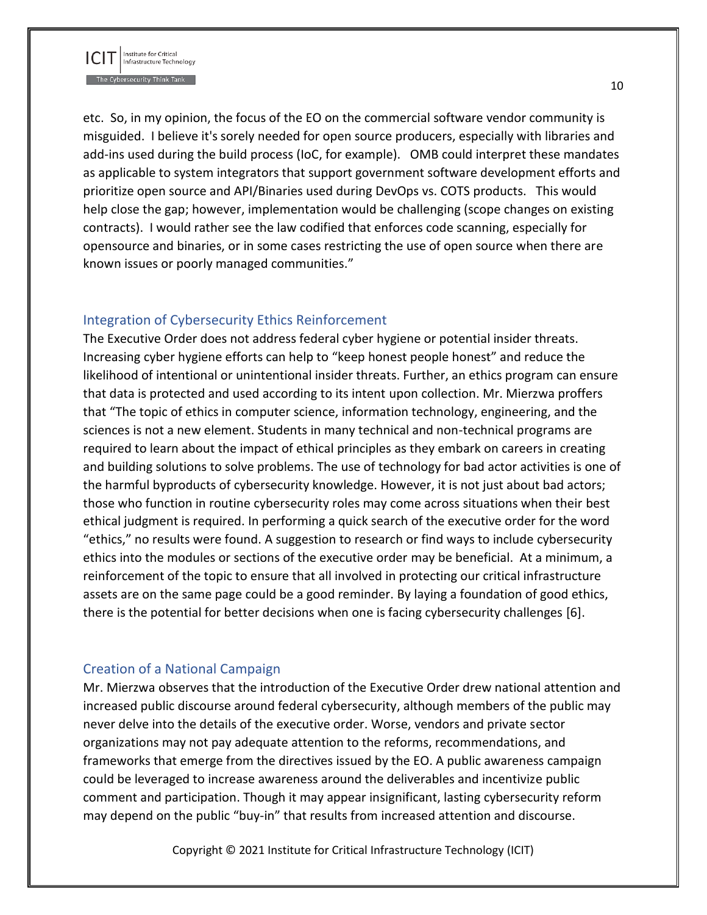

etc. So, in my opinion, the focus of the EO on the commercial software vendor community is misguided. I believe it's sorely needed for open source producers, especially with libraries and add-ins used during the build process (IoC, for example). OMB could interpret these mandates as applicable to system integrators that support government software development efforts and prioritize open source and API/Binaries used during DevOps vs. COTS products. This would help close the gap; however, implementation would be challenging (scope changes on existing contracts). I would rather see the law codified that enforces code scanning, especially for opensource and binaries, or in some cases restricting the use of open source when there are known issues or poorly managed communities."

#### <span id="page-10-0"></span>Integration of Cybersecurity Ethics Reinforcement

The Executive Order does not address federal cyber hygiene or potential insider threats. Increasing cyber hygiene efforts can help to "keep honest people honest" and reduce the likelihood of intentional or unintentional insider threats. Further, an ethics program can ensure that data is protected and used according to its intent upon collection. Mr. Mierzwa proffers that "The topic of ethics in computer science, information technology, engineering, and the sciences is not a new element. Students in many technical and non-technical programs are required to learn about the impact of ethical principles as they embark on careers in creating and building solutions to solve problems. The use of technology for bad actor activities is one of the harmful byproducts of cybersecurity knowledge. However, it is not just about bad actors; those who function in routine cybersecurity roles may come across situations when their best ethical judgment is required. In performing a quick search of the executive order for the word "ethics," no results were found. A suggestion to research or find ways to include cybersecurity ethics into the modules or sections of the executive order may be beneficial. At a minimum, a reinforcement of the topic to ensure that all involved in protecting our critical infrastructure assets are on the same page could be a good reminder. By laying a foundation of good ethics, there is the potential for better decisions when one is facing cybersecurity challenges [6].

#### <span id="page-10-1"></span>Creation of a National Campaign

Mr. Mierzwa observes that the introduction of the Executive Order drew national attention and increased public discourse around federal cybersecurity, although members of the public may never delve into the details of the executive order. Worse, vendors and private sector organizations may not pay adequate attention to the reforms, recommendations, and frameworks that emerge from the directives issued by the EO. A public awareness campaign could be leveraged to increase awareness around the deliverables and incentivize public comment and participation. Though it may appear insignificant, lasting cybersecurity reform may depend on the public "buy-in" that results from increased attention and discourse.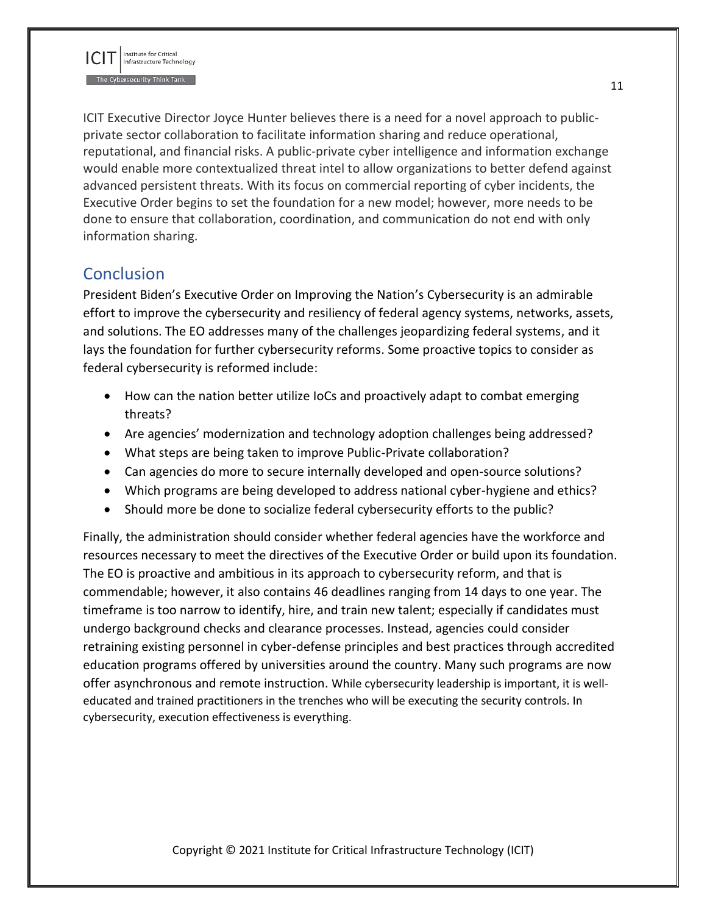

ICIT Executive Director Joyce Hunter believes there is a need for a novel approach to publicprivate sector collaboration to facilitate information sharing and reduce operational, reputational, and financial risks. A public-private cyber intelligence and information exchange would enable more contextualized threat intel to allow organizations to better defend against advanced persistent threats. With its focus on commercial reporting of cyber incidents, the Executive Order begins to set the foundation for a new model; however, more needs to be done to ensure that collaboration, coordination, and communication do not end with only information sharing.

# <span id="page-11-0"></span>**Conclusion**

President Biden's Executive Order on Improving the Nation's Cybersecurity is an admirable effort to improve the cybersecurity and resiliency of federal agency systems, networks, assets, and solutions. The EO addresses many of the challenges jeopardizing federal systems, and it lays the foundation for further cybersecurity reforms. Some proactive topics to consider as federal cybersecurity is reformed include:

- How can the nation better utilize IoCs and proactively adapt to combat emerging threats?
- Are agencies' modernization and technology adoption challenges being addressed?
- What steps are being taken to improve Public-Private collaboration?
- Can agencies do more to secure internally developed and open-source solutions?
- Which programs are being developed to address national cyber-hygiene and ethics?
- Should more be done to socialize federal cybersecurity efforts to the public?

Finally, the administration should consider whether federal agencies have the workforce and resources necessary to meet the directives of the Executive Order or build upon its foundation. The EO is proactive and ambitious in its approach to cybersecurity reform, and that is commendable; however, it also contains 46 deadlines ranging from 14 days to one year. The timeframe is too narrow to identify, hire, and train new talent; especially if candidates must undergo background checks and clearance processes. Instead, agencies could consider retraining existing personnel in cyber-defense principles and best practices through accredited education programs offered by universities around the country. Many such programs are now offer asynchronous and remote instruction. While cybersecurity leadership is important, it is welleducated and trained practitioners in the trenches who will be executing the security controls. In cybersecurity, execution effectiveness is everything.